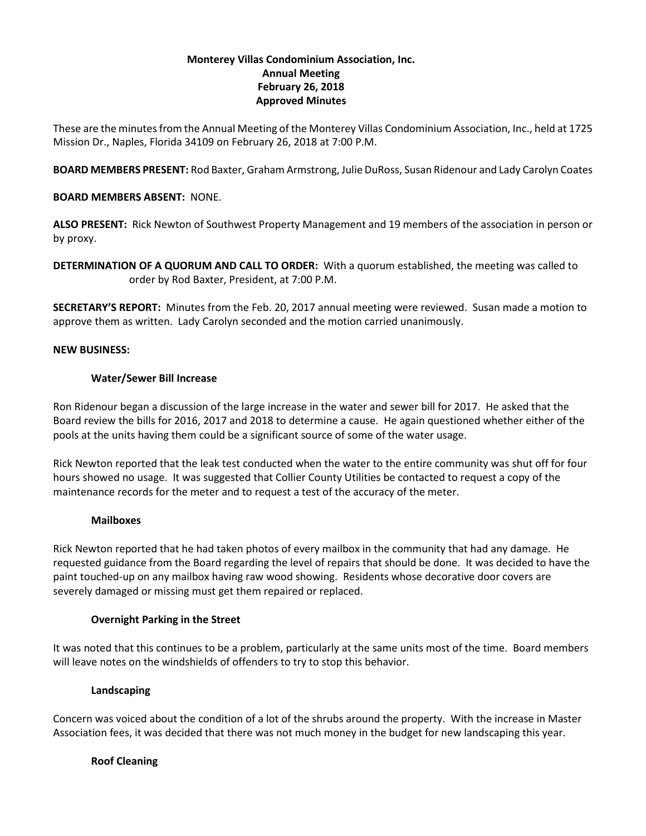# **Monterey Villas Condominium Association, Inc. Annual Meeting February 26, 2018 Approved Minutes**

These are the minutesfrom the Annual Meeting of the Monterey Villas Condominium Association, Inc., held at 1725 Mission Dr., Naples, Florida 34109 on February 26, 2018 at 7:00 P.M.

**BOARD MEMBERS PRESENT:** Rod Baxter, Graham Armstrong, Julie DuRoss, Susan Ridenour and Lady Carolyn Coates

# **BOARD MEMBERS ABSENT:** NONE.

**ALSO PRESENT:** Rick Newton of Southwest Property Management and 19 members of the association in person or by proxy.

**DETERMINATION OF A QUORUM AND CALL TO ORDER:** With a quorum established, the meeting was called to order by Rod Baxter, President, at 7:00 P.M.

**SECRETARY'S REPORT:** Minutes from the Feb. 20, 2017 annual meeting were reviewed. Susan made a motion to approve them as written. Lady Carolyn seconded and the motion carried unanimously.

### **NEW BUSINESS:**

### **Water/Sewer Bill Increase**

Ron Ridenour began a discussion of the large increase in the water and sewer bill for 2017. He asked that the Board review the bills for 2016, 2017 and 2018 to determine a cause. He again questioned whether either of the pools at the units having them could be a significant source of some of the water usage.

Rick Newton reported that the leak test conducted when the water to the entire community was shut off for four hours showed no usage. It was suggested that Collier County Utilities be contacted to request a copy of the maintenance records for the meter and to request a test of the accuracy of the meter.

### **Mailboxes**

Rick Newton reported that he had taken photos of every mailbox in the community that had any damage. He requested guidance from the Board regarding the level of repairs that should be done. It was decided to have the paint touched-up on any mailbox having raw wood showing. Residents whose decorative door covers are severely damaged or missing must get them repaired or replaced.

### **Overnight Parking in the Street**

It was noted that this continues to be a problem, particularly at the same units most of the time. Board members will leave notes on the windshields of offenders to try to stop this behavior.

### **Landscaping**

Concern was voiced about the condition of a lot of the shrubs around the property. With the increase in Master Association fees, it was decided that there was not much money in the budget for new landscaping this year.

### **Roof Cleaning**